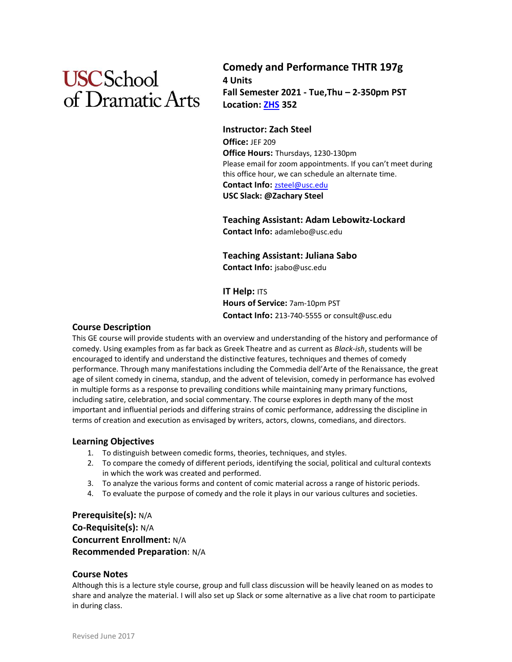# **USC**School of Dramatic Arts

# **Comedy and Performance THTR 197g 4 Units Fall Semester 2021 - Tue,Thu – 2-350pm PST Location: [ZHS](https://maps.usc.edu/?id=1928&reference=ZHS) 352**

**Instructor: Zach Steel Office:** JEF 209 **Office Hours:** Thursdays, 1230-130pm Please email for zoom appointments. If you can't meet during this office hour, we can schedule an alternate time. **Contact Info:** [zsteel@usc.edu](mailto:zsteel@usc.edu) **USC Slack: @Zachary Steel**

**Teaching Assistant: Adam Lebowitz-Lockard Contact Info:** adamlebo@usc.edu

**Teaching Assistant: Juliana Sabo Contact Info:** jsabo@usc.edu

**IT Help: ITS Hours of Service:** 7am-10pm PST **Contact Info:** 213-740-5555 or consult@usc.edu

# **Course Description**

This GE course will provide students with an overview and understanding of the history and performance of comedy. Using examples from as far back as Greek Theatre and as current as *Black-ish*, students will be encouraged to identify and understand the distinctive features, techniques and themes of comedy performance. Through many manifestations including the Commedia dell'Arte of the Renaissance, the great age of silent comedy in cinema, standup, and the advent of television, comedy in performance has evolved in multiple forms as a response to prevailing conditions while maintaining many primary functions, including satire, celebration, and social commentary. The course explores in depth many of the most important and influential periods and differing strains of comic performance, addressing the discipline in terms of creation and execution as envisaged by writers, actors, clowns, comedians, and directors.

# **Learning Objectives**

- 1. To distinguish between comedic forms, theories, techniques, and styles.
- 2. To compare the comedy of different periods, identifying the social, political and cultural contexts in which the work was created and performed.
- 3. To analyze the various forms and content of comic material across a range of historic periods.
- 4. To evaluate the purpose of comedy and the role it plays in our various cultures and societies.

# **Prerequisite(s):** N/A **Co-Requisite(s):** N/A **Concurrent Enrollment:** N/A **Recommended Preparation**: N/A

# **Course Notes**

Although this is a lecture style course, group and full class discussion will be heavily leaned on as modes to share and analyze the material. I will also set up Slack or some alternative as a live chat room to participate in during class.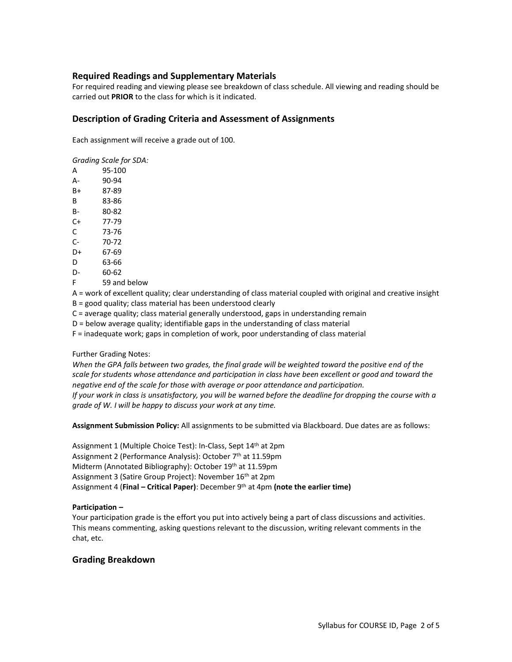# **Required Readings and Supplementary Materials**

For required reading and viewing please see breakdown of class schedule. All viewing and reading should be carried out **PRIOR** to the class for which is it indicated.

#### **Description of Grading Criteria and Assessment of Assignments**

Each assignment will receive a grade out of 100.

*Grading Scale for SDA:* 

A 95-100 A- 90-94 B+ 87-89

B 83-86

- B- 80-82
- C+ 77-79
- C 73-76
- C- 70-72
- D+ 67-69
- D 63-66
- D- 60-62
- F 59 and below

A = work of excellent quality; clear understanding of class material coupled with original and creative insight B = good quality; class material has been understood clearly

C = average quality; class material generally understood, gaps in understanding remain

D = below average quality; identifiable gaps in the understanding of class material

F = inadequate work; gaps in completion of work, poor understanding of class material

Further Grading Notes:

*When the GPA falls between two grades, the final grade will be weighted toward the positive end of the scale for students whose attendance and participation in class have been excellent or good and toward the negative end of the scale for those with average or poor attendance and participation. If your work in class is unsatisfactory, you will be warned before the deadline for dropping the course with a grade of W. I will be happy to discuss your work at any time.* 

**Assignment Submission Policy:** All assignments to be submitted via Blackboard. Due dates are as follows:

Assignment 1 (Multiple Choice Test): In-Class, Sept 14<sup>th</sup> at 2pm Assignment 2 (Performance Analysis): October 7 th at 11.59pm Midterm (Annotated Bibliography): October 19th at 11.59pm Assignment 3 (Satire Group Project): November 16<sup>th</sup> at 2pm Assignment 4 (**Final – Critical Paper)**: December 9th at 4pm **(note the earlier time)**

#### **Participation –**

Your participation grade is the effort you put into actively being a part of class discussions and activities. This means commenting, asking questions relevant to the discussion, writing relevant comments in the chat, etc.

# **Grading Breakdown**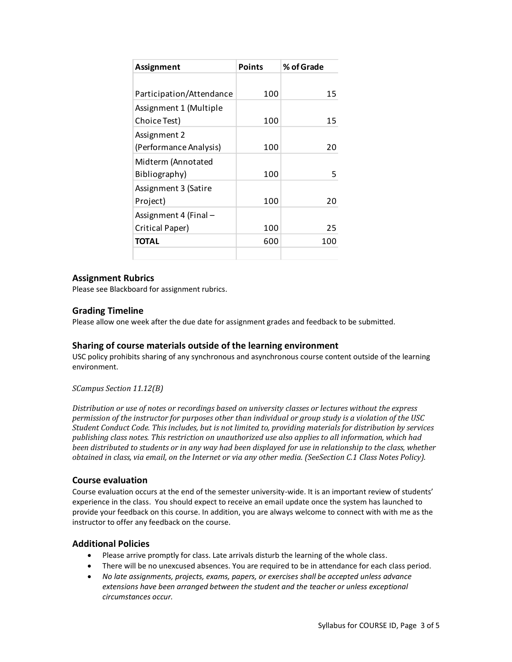| Assignment               | <b>Points</b> | % of Grade |
|--------------------------|---------------|------------|
|                          |               |            |
| Participation/Attendance | 100           | 15         |
| Assignment 1 (Multiple   |               |            |
| Choice Test)             | 100           | 15         |
| Assignment 2             |               |            |
| (Performance Analysis)   | 100           | 20         |
| Midterm (Annotated       |               |            |
| Bibliography)            | 100           | 5          |
| Assignment 3 (Satire     |               |            |
| Project)                 | 100           | 20         |
| Assignment 4 (Final -    |               |            |
| Critical Paper)          | 100           | 25         |
| TOTAL                    | 600           | 100        |
|                          |               |            |

# **Assignment Rubrics**

Please see Blackboard for assignment rubrics.

# **Grading Timeline**

Please allow one week after the due date for assignment grades and feedback to be submitted.

# **Sharing of course materials outside of the learning environment**

USC policy prohibits sharing of any synchronous and asynchronous course content outside of the learning environment.

*SCampus Section 11.12(B)* 

*Distribution or use of notes or recordings based on university classes or lectures without the express permission of the instructor for purposes other than individual or group study is a violation of the USC Student Conduct Code. This includes, but is not limited to, providing materials for distribution by services publishing class notes. This restriction on unauthorized use also applies to all information, which had been distributed to students or in any way had been displayed for use in relationship to the class, whether obtained in class, via email, on the Internet or via any other media. (SeeSection C.1 Class Notes Policy).*

# **Course evaluation**

Course evaluation occurs at the end of the semester university-wide. It is an important review of students' experience in the class. You should expect to receive an email update once the system has launched to provide your feedback on this course. In addition, you are always welcome to connect with with me as the instructor to offer any feedback on the course.

# **Additional Policies**

- Please arrive promptly for class. Late arrivals disturb the learning of the whole class.
- There will be no unexcused absences. You are required to be in attendance for each class period.
- *No late assignments, projects, exams, papers, or exercises shall be accepted unless advance extensions have been arranged between the student and the teacher or unless exceptional circumstances occur.*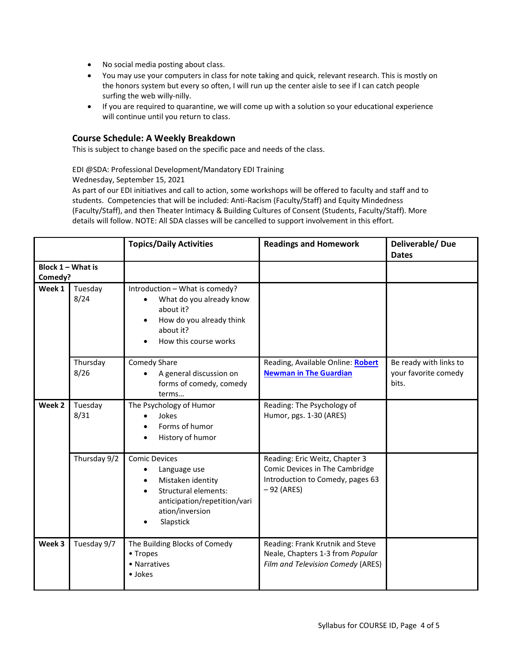- No social media posting about class.
- You may use your computers in class for note taking and quick, relevant research. This is mostly on the honors system but every so often, I will run up the center aisle to see if I can catch people surfing the web willy-nilly.
- If you are required to quarantine, we will come up with a solution so your educational experience will continue until you return to class.

#### **Course Schedule: A Weekly Breakdown**

This is subject to change based on the specific pace and needs of the class.

EDI @SDA: Professional Development/Mandatory EDI Training

Wednesday, September 15, 2021

As part of our EDI initiatives and call to action, some workshops will be offered to faculty and staff and to students. Competencies that will be included: Anti-Racism (Faculty/Staff) and Equity Mindedness (Faculty/Staff), and then Theater Intimacy & Building Cultures of Consent (Students, Faculty/Staff). More details will follow. NOTE: All SDA classes will be cancelled to support involvement in this effort.

|                     |                  | <b>Topics/Daily Activities</b>                                                                                                                                                     | <b>Readings and Homework</b>                                                                                         | Deliverable/Due<br><b>Dates</b>                         |
|---------------------|------------------|------------------------------------------------------------------------------------------------------------------------------------------------------------------------------------|----------------------------------------------------------------------------------------------------------------------|---------------------------------------------------------|
| Block $1 -$ What is |                  |                                                                                                                                                                                    |                                                                                                                      |                                                         |
| Comedy?             |                  |                                                                                                                                                                                    |                                                                                                                      |                                                         |
| Week 1              | Tuesday<br>8/24  | Introduction - What is comedy?<br>What do you already know<br>$\bullet$<br>about it?<br>How do you already think<br>about it?<br>How this course works                             |                                                                                                                      |                                                         |
|                     | Thursday<br>8/26 | Comedy Share<br>A general discussion on<br>forms of comedy, comedy<br>terms                                                                                                        | Reading, Available Online: Robert<br><b>Newman in The Guardian</b>                                                   | Be ready with links to<br>your favorite comedy<br>bits. |
| Week 2              | Tuesday<br>8/31  | The Psychology of Humor<br>Jokes<br>Forms of humor<br>History of humor                                                                                                             | Reading: The Psychology of<br>Humor, pgs. 1-30 (ARES)                                                                |                                                         |
|                     | Thursday 9/2     | <b>Comic Devices</b><br>Language use<br>$\bullet$<br>Mistaken identity<br>$\bullet$<br><b>Structural elements:</b><br>anticipation/repetition/vari<br>ation/inversion<br>Slapstick | Reading: Eric Weitz, Chapter 3<br>Comic Devices in The Cambridge<br>Introduction to Comedy, pages 63<br>$-92$ (ARES) |                                                         |
| Week 3              | Tuesday 9/7      | The Building Blocks of Comedy<br>• Tropes<br>• Narratives<br>• Jokes                                                                                                               | Reading: Frank Krutnik and Steve<br>Neale, Chapters 1-3 from Popular<br>Film and Television Comedy (ARES)            |                                                         |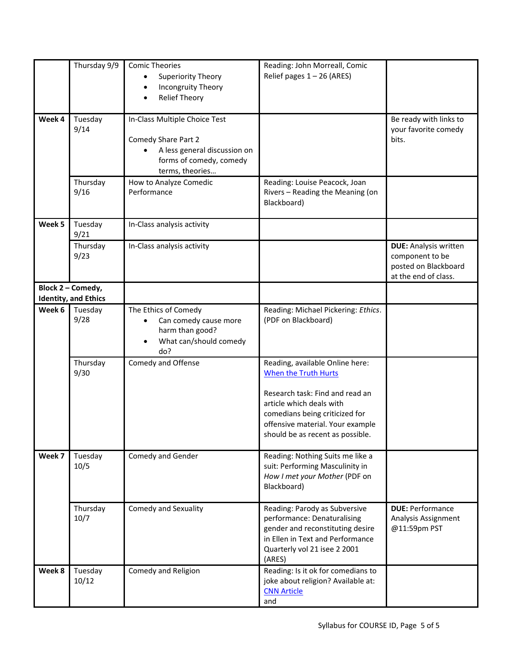|        | Thursday 9/9                                     | <b>Comic Theories</b><br>Superiority Theory                                                                                        | Reading: John Morreall, Comic<br>Relief pages $1 - 26$ (ARES)                                                                                                                                                                           |                                                                                                 |
|--------|--------------------------------------------------|------------------------------------------------------------------------------------------------------------------------------------|-----------------------------------------------------------------------------------------------------------------------------------------------------------------------------------------------------------------------------------------|-------------------------------------------------------------------------------------------------|
|        |                                                  | Incongruity Theory<br><b>Relief Theory</b>                                                                                         |                                                                                                                                                                                                                                         |                                                                                                 |
| Week 4 | Tuesday<br>9/14                                  | In-Class Multiple Choice Test<br>Comedy Share Part 2<br>A less general discussion on<br>forms of comedy, comedy<br>terms, theories |                                                                                                                                                                                                                                         | Be ready with links to<br>your favorite comedy<br>bits.                                         |
|        | Thursday<br>9/16                                 | How to Analyze Comedic<br>Performance                                                                                              | Reading: Louise Peacock, Joan<br>Rivers - Reading the Meaning (on<br>Blackboard)                                                                                                                                                        |                                                                                                 |
| Week 5 | Tuesday<br>9/21                                  | In-Class analysis activity                                                                                                         |                                                                                                                                                                                                                                         |                                                                                                 |
|        | Thursday<br>9/23                                 | In-Class analysis activity                                                                                                         |                                                                                                                                                                                                                                         | <b>DUE:</b> Analysis written<br>component to be<br>posted on Blackboard<br>at the end of class. |
|        | Block 2 - Comedy,<br><b>Identity, and Ethics</b> |                                                                                                                                    |                                                                                                                                                                                                                                         |                                                                                                 |
| Week 6 | Tuesday<br>9/28                                  | The Ethics of Comedy<br>Can comedy cause more<br>harm than good?<br>What can/should comedy<br>$\bullet$<br>do?                     | Reading: Michael Pickering: Ethics.<br>(PDF on Blackboard)                                                                                                                                                                              |                                                                                                 |
|        | Thursday<br>9/30                                 | Comedy and Offense                                                                                                                 | Reading, available Online here:<br><b>When the Truth Hurts</b><br>Research task: Find and read an<br>article which deals with<br>comedians being criticized for<br>offensive material. Your example<br>should be as recent as possible. |                                                                                                 |
| Week 7 | Tuesday<br>10/5                                  | Comedy and Gender                                                                                                                  | Reading: Nothing Suits me like a<br>suit: Performing Masculinity in<br>How I met your Mother (PDF on<br>Blackboard)                                                                                                                     |                                                                                                 |
|        | Thursday<br>10/7                                 | <b>Comedy and Sexuality</b>                                                                                                        | Reading: Parody as Subversive<br>performance: Denaturalising<br>gender and reconstituting desire<br>in Ellen in Text and Performance<br>Quarterly vol 21 isee 2 2001<br>(ARES)                                                          | <b>DUE: Performance</b><br>Analysis Assignment<br>@11:59pm PST                                  |
| Week 8 | Tuesday<br>10/12                                 | Comedy and Religion                                                                                                                | Reading: Is it ok for comedians to<br>joke about religion? Available at:<br><b>CNN Article</b><br>and                                                                                                                                   |                                                                                                 |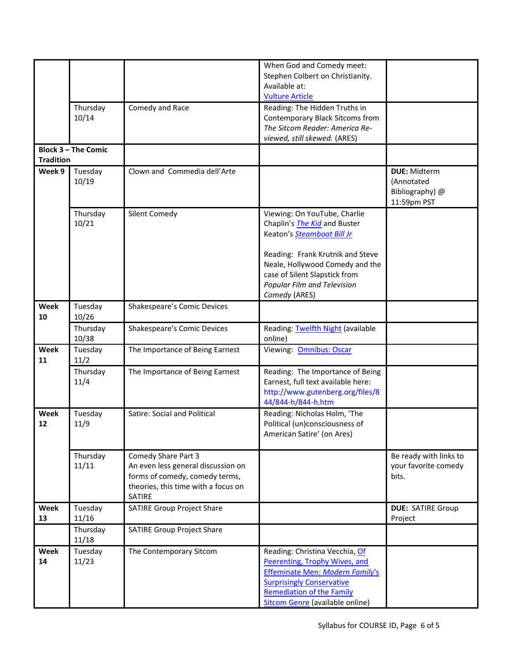| Stephen Colbert on Christianity.<br>Available at:<br><b>Vulture Article</b><br>Thursday<br>Comedy and Race<br>Reading: The Hidden Truths in<br>10/14<br>Contemporary Black Sitcoms from<br>The Sitcom Reader: America Re-<br>viewed, still skewed. (ARES)<br><b>Block 3 - The Comic</b><br><b>Tradition</b><br>Clown and Commedia dell'Arte<br>Week 9<br>Tuesday<br><b>DUE: Midterm</b><br>10/19<br>(Annotated<br>Bibliography) @<br>11:59pm PST<br>Thursday<br>Silent Comedy<br>Viewing: On YouTube, Charlie<br>10/21<br>Chaplin's <i>The Kid</i> and Buster<br>Keaton's Steamboat Bill Jr<br>Reading: Frank Krutnik and Steve<br>Neale, Hollywood Comedy and the<br>case of Silent Slapstick from<br>Popular Film and Television<br>Comedy (ARES)<br>Week<br>Shakespeare's Comic Devices<br>Tuesday<br>10/26<br>10<br>Reading: Twelfth Night (available<br>Thursday<br>Shakespeare's Comic Devices<br>10/38<br>online)<br>Week<br>Tuesday<br>The Importance of Being Earnest<br>Viewing: Omnibus: Oscar<br>11/2<br>11<br>Thursday<br>The Importance of Being Earnest<br>Reading: The Importance of Being<br>11/4<br>Earnest, full text available here:<br>http://www.gutenberg.org/files/8<br>44/844-h/844-h.htm<br>Week<br>Tuesday<br>Satire: Social and Political<br>Reading: Nicholas Holm, 'The<br>11/9<br>Political (un)consciousness of<br>12<br>American Satire' (on Ares)<br>Thursday<br>Comedy Share Part 3<br>Be ready with links to<br>11/11<br>An even less general discussion on<br>your favorite comedy<br>forms of comedy, comedy terms,<br>bits.<br>theories, this time with a focus on<br>SATIRE<br><b>SATIRE Group Project Share</b><br>Week<br>Tuesday<br><b>DUE: SATIRE Group</b><br>11/16<br>13<br>Project<br>Thursday<br><b>SATIRE Group Project Share</b><br>11/18<br>Week<br>Tuesday<br>The Contemporary Sitcom<br>Reading: Christina Vecchia, Of<br>11/23<br>Peerenting, Trophy Wives, and<br>14<br>Effeminate Men: Modern Family's<br><b>Surprisingly Conservative</b><br><b>Remediation of the Family</b> |  | When God and Comedy meet:       |  |
|----------------------------------------------------------------------------------------------------------------------------------------------------------------------------------------------------------------------------------------------------------------------------------------------------------------------------------------------------------------------------------------------------------------------------------------------------------------------------------------------------------------------------------------------------------------------------------------------------------------------------------------------------------------------------------------------------------------------------------------------------------------------------------------------------------------------------------------------------------------------------------------------------------------------------------------------------------------------------------------------------------------------------------------------------------------------------------------------------------------------------------------------------------------------------------------------------------------------------------------------------------------------------------------------------------------------------------------------------------------------------------------------------------------------------------------------------------------------------------------------------------------------------------------------------------------------------------------------------------------------------------------------------------------------------------------------------------------------------------------------------------------------------------------------------------------------------------------------------------------------------------------------------------------------------------------------------------------------------------------------------------------------------------------|--|---------------------------------|--|
|                                                                                                                                                                                                                                                                                                                                                                                                                                                                                                                                                                                                                                                                                                                                                                                                                                                                                                                                                                                                                                                                                                                                                                                                                                                                                                                                                                                                                                                                                                                                                                                                                                                                                                                                                                                                                                                                                                                                                                                                                                        |  |                                 |  |
|                                                                                                                                                                                                                                                                                                                                                                                                                                                                                                                                                                                                                                                                                                                                                                                                                                                                                                                                                                                                                                                                                                                                                                                                                                                                                                                                                                                                                                                                                                                                                                                                                                                                                                                                                                                                                                                                                                                                                                                                                                        |  |                                 |  |
|                                                                                                                                                                                                                                                                                                                                                                                                                                                                                                                                                                                                                                                                                                                                                                                                                                                                                                                                                                                                                                                                                                                                                                                                                                                                                                                                                                                                                                                                                                                                                                                                                                                                                                                                                                                                                                                                                                                                                                                                                                        |  |                                 |  |
|                                                                                                                                                                                                                                                                                                                                                                                                                                                                                                                                                                                                                                                                                                                                                                                                                                                                                                                                                                                                                                                                                                                                                                                                                                                                                                                                                                                                                                                                                                                                                                                                                                                                                                                                                                                                                                                                                                                                                                                                                                        |  |                                 |  |
|                                                                                                                                                                                                                                                                                                                                                                                                                                                                                                                                                                                                                                                                                                                                                                                                                                                                                                                                                                                                                                                                                                                                                                                                                                                                                                                                                                                                                                                                                                                                                                                                                                                                                                                                                                                                                                                                                                                                                                                                                                        |  |                                 |  |
|                                                                                                                                                                                                                                                                                                                                                                                                                                                                                                                                                                                                                                                                                                                                                                                                                                                                                                                                                                                                                                                                                                                                                                                                                                                                                                                                                                                                                                                                                                                                                                                                                                                                                                                                                                                                                                                                                                                                                                                                                                        |  |                                 |  |
|                                                                                                                                                                                                                                                                                                                                                                                                                                                                                                                                                                                                                                                                                                                                                                                                                                                                                                                                                                                                                                                                                                                                                                                                                                                                                                                                                                                                                                                                                                                                                                                                                                                                                                                                                                                                                                                                                                                                                                                                                                        |  |                                 |  |
|                                                                                                                                                                                                                                                                                                                                                                                                                                                                                                                                                                                                                                                                                                                                                                                                                                                                                                                                                                                                                                                                                                                                                                                                                                                                                                                                                                                                                                                                                                                                                                                                                                                                                                                                                                                                                                                                                                                                                                                                                                        |  |                                 |  |
|                                                                                                                                                                                                                                                                                                                                                                                                                                                                                                                                                                                                                                                                                                                                                                                                                                                                                                                                                                                                                                                                                                                                                                                                                                                                                                                                                                                                                                                                                                                                                                                                                                                                                                                                                                                                                                                                                                                                                                                                                                        |  |                                 |  |
|                                                                                                                                                                                                                                                                                                                                                                                                                                                                                                                                                                                                                                                                                                                                                                                                                                                                                                                                                                                                                                                                                                                                                                                                                                                                                                                                                                                                                                                                                                                                                                                                                                                                                                                                                                                                                                                                                                                                                                                                                                        |  |                                 |  |
|                                                                                                                                                                                                                                                                                                                                                                                                                                                                                                                                                                                                                                                                                                                                                                                                                                                                                                                                                                                                                                                                                                                                                                                                                                                                                                                                                                                                                                                                                                                                                                                                                                                                                                                                                                                                                                                                                                                                                                                                                                        |  |                                 |  |
|                                                                                                                                                                                                                                                                                                                                                                                                                                                                                                                                                                                                                                                                                                                                                                                                                                                                                                                                                                                                                                                                                                                                                                                                                                                                                                                                                                                                                                                                                                                                                                                                                                                                                                                                                                                                                                                                                                                                                                                                                                        |  |                                 |  |
|                                                                                                                                                                                                                                                                                                                                                                                                                                                                                                                                                                                                                                                                                                                                                                                                                                                                                                                                                                                                                                                                                                                                                                                                                                                                                                                                                                                                                                                                                                                                                                                                                                                                                                                                                                                                                                                                                                                                                                                                                                        |  |                                 |  |
|                                                                                                                                                                                                                                                                                                                                                                                                                                                                                                                                                                                                                                                                                                                                                                                                                                                                                                                                                                                                                                                                                                                                                                                                                                                                                                                                                                                                                                                                                                                                                                                                                                                                                                                                                                                                                                                                                                                                                                                                                                        |  |                                 |  |
|                                                                                                                                                                                                                                                                                                                                                                                                                                                                                                                                                                                                                                                                                                                                                                                                                                                                                                                                                                                                                                                                                                                                                                                                                                                                                                                                                                                                                                                                                                                                                                                                                                                                                                                                                                                                                                                                                                                                                                                                                                        |  |                                 |  |
|                                                                                                                                                                                                                                                                                                                                                                                                                                                                                                                                                                                                                                                                                                                                                                                                                                                                                                                                                                                                                                                                                                                                                                                                                                                                                                                                                                                                                                                                                                                                                                                                                                                                                                                                                                                                                                                                                                                                                                                                                                        |  |                                 |  |
|                                                                                                                                                                                                                                                                                                                                                                                                                                                                                                                                                                                                                                                                                                                                                                                                                                                                                                                                                                                                                                                                                                                                                                                                                                                                                                                                                                                                                                                                                                                                                                                                                                                                                                                                                                                                                                                                                                                                                                                                                                        |  |                                 |  |
|                                                                                                                                                                                                                                                                                                                                                                                                                                                                                                                                                                                                                                                                                                                                                                                                                                                                                                                                                                                                                                                                                                                                                                                                                                                                                                                                                                                                                                                                                                                                                                                                                                                                                                                                                                                                                                                                                                                                                                                                                                        |  |                                 |  |
|                                                                                                                                                                                                                                                                                                                                                                                                                                                                                                                                                                                                                                                                                                                                                                                                                                                                                                                                                                                                                                                                                                                                                                                                                                                                                                                                                                                                                                                                                                                                                                                                                                                                                                                                                                                                                                                                                                                                                                                                                                        |  |                                 |  |
|                                                                                                                                                                                                                                                                                                                                                                                                                                                                                                                                                                                                                                                                                                                                                                                                                                                                                                                                                                                                                                                                                                                                                                                                                                                                                                                                                                                                                                                                                                                                                                                                                                                                                                                                                                                                                                                                                                                                                                                                                                        |  |                                 |  |
|                                                                                                                                                                                                                                                                                                                                                                                                                                                                                                                                                                                                                                                                                                                                                                                                                                                                                                                                                                                                                                                                                                                                                                                                                                                                                                                                                                                                                                                                                                                                                                                                                                                                                                                                                                                                                                                                                                                                                                                                                                        |  |                                 |  |
|                                                                                                                                                                                                                                                                                                                                                                                                                                                                                                                                                                                                                                                                                                                                                                                                                                                                                                                                                                                                                                                                                                                                                                                                                                                                                                                                                                                                                                                                                                                                                                                                                                                                                                                                                                                                                                                                                                                                                                                                                                        |  |                                 |  |
|                                                                                                                                                                                                                                                                                                                                                                                                                                                                                                                                                                                                                                                                                                                                                                                                                                                                                                                                                                                                                                                                                                                                                                                                                                                                                                                                                                                                                                                                                                                                                                                                                                                                                                                                                                                                                                                                                                                                                                                                                                        |  |                                 |  |
|                                                                                                                                                                                                                                                                                                                                                                                                                                                                                                                                                                                                                                                                                                                                                                                                                                                                                                                                                                                                                                                                                                                                                                                                                                                                                                                                                                                                                                                                                                                                                                                                                                                                                                                                                                                                                                                                                                                                                                                                                                        |  |                                 |  |
|                                                                                                                                                                                                                                                                                                                                                                                                                                                                                                                                                                                                                                                                                                                                                                                                                                                                                                                                                                                                                                                                                                                                                                                                                                                                                                                                                                                                                                                                                                                                                                                                                                                                                                                                                                                                                                                                                                                                                                                                                                        |  |                                 |  |
|                                                                                                                                                                                                                                                                                                                                                                                                                                                                                                                                                                                                                                                                                                                                                                                                                                                                                                                                                                                                                                                                                                                                                                                                                                                                                                                                                                                                                                                                                                                                                                                                                                                                                                                                                                                                                                                                                                                                                                                                                                        |  |                                 |  |
|                                                                                                                                                                                                                                                                                                                                                                                                                                                                                                                                                                                                                                                                                                                                                                                                                                                                                                                                                                                                                                                                                                                                                                                                                                                                                                                                                                                                                                                                                                                                                                                                                                                                                                                                                                                                                                                                                                                                                                                                                                        |  |                                 |  |
|                                                                                                                                                                                                                                                                                                                                                                                                                                                                                                                                                                                                                                                                                                                                                                                                                                                                                                                                                                                                                                                                                                                                                                                                                                                                                                                                                                                                                                                                                                                                                                                                                                                                                                                                                                                                                                                                                                                                                                                                                                        |  |                                 |  |
|                                                                                                                                                                                                                                                                                                                                                                                                                                                                                                                                                                                                                                                                                                                                                                                                                                                                                                                                                                                                                                                                                                                                                                                                                                                                                                                                                                                                                                                                                                                                                                                                                                                                                                                                                                                                                                                                                                                                                                                                                                        |  |                                 |  |
|                                                                                                                                                                                                                                                                                                                                                                                                                                                                                                                                                                                                                                                                                                                                                                                                                                                                                                                                                                                                                                                                                                                                                                                                                                                                                                                                                                                                                                                                                                                                                                                                                                                                                                                                                                                                                                                                                                                                                                                                                                        |  |                                 |  |
|                                                                                                                                                                                                                                                                                                                                                                                                                                                                                                                                                                                                                                                                                                                                                                                                                                                                                                                                                                                                                                                                                                                                                                                                                                                                                                                                                                                                                                                                                                                                                                                                                                                                                                                                                                                                                                                                                                                                                                                                                                        |  |                                 |  |
|                                                                                                                                                                                                                                                                                                                                                                                                                                                                                                                                                                                                                                                                                                                                                                                                                                                                                                                                                                                                                                                                                                                                                                                                                                                                                                                                                                                                                                                                                                                                                                                                                                                                                                                                                                                                                                                                                                                                                                                                                                        |  |                                 |  |
|                                                                                                                                                                                                                                                                                                                                                                                                                                                                                                                                                                                                                                                                                                                                                                                                                                                                                                                                                                                                                                                                                                                                                                                                                                                                                                                                                                                                                                                                                                                                                                                                                                                                                                                                                                                                                                                                                                                                                                                                                                        |  |                                 |  |
|                                                                                                                                                                                                                                                                                                                                                                                                                                                                                                                                                                                                                                                                                                                                                                                                                                                                                                                                                                                                                                                                                                                                                                                                                                                                                                                                                                                                                                                                                                                                                                                                                                                                                                                                                                                                                                                                                                                                                                                                                                        |  |                                 |  |
|                                                                                                                                                                                                                                                                                                                                                                                                                                                                                                                                                                                                                                                                                                                                                                                                                                                                                                                                                                                                                                                                                                                                                                                                                                                                                                                                                                                                                                                                                                                                                                                                                                                                                                                                                                                                                                                                                                                                                                                                                                        |  |                                 |  |
|                                                                                                                                                                                                                                                                                                                                                                                                                                                                                                                                                                                                                                                                                                                                                                                                                                                                                                                                                                                                                                                                                                                                                                                                                                                                                                                                                                                                                                                                                                                                                                                                                                                                                                                                                                                                                                                                                                                                                                                                                                        |  |                                 |  |
|                                                                                                                                                                                                                                                                                                                                                                                                                                                                                                                                                                                                                                                                                                                                                                                                                                                                                                                                                                                                                                                                                                                                                                                                                                                                                                                                                                                                                                                                                                                                                                                                                                                                                                                                                                                                                                                                                                                                                                                                                                        |  |                                 |  |
|                                                                                                                                                                                                                                                                                                                                                                                                                                                                                                                                                                                                                                                                                                                                                                                                                                                                                                                                                                                                                                                                                                                                                                                                                                                                                                                                                                                                                                                                                                                                                                                                                                                                                                                                                                                                                                                                                                                                                                                                                                        |  |                                 |  |
|                                                                                                                                                                                                                                                                                                                                                                                                                                                                                                                                                                                                                                                                                                                                                                                                                                                                                                                                                                                                                                                                                                                                                                                                                                                                                                                                                                                                                                                                                                                                                                                                                                                                                                                                                                                                                                                                                                                                                                                                                                        |  |                                 |  |
|                                                                                                                                                                                                                                                                                                                                                                                                                                                                                                                                                                                                                                                                                                                                                                                                                                                                                                                                                                                                                                                                                                                                                                                                                                                                                                                                                                                                                                                                                                                                                                                                                                                                                                                                                                                                                                                                                                                                                                                                                                        |  |                                 |  |
|                                                                                                                                                                                                                                                                                                                                                                                                                                                                                                                                                                                                                                                                                                                                                                                                                                                                                                                                                                                                                                                                                                                                                                                                                                                                                                                                                                                                                                                                                                                                                                                                                                                                                                                                                                                                                                                                                                                                                                                                                                        |  |                                 |  |
|                                                                                                                                                                                                                                                                                                                                                                                                                                                                                                                                                                                                                                                                                                                                                                                                                                                                                                                                                                                                                                                                                                                                                                                                                                                                                                                                                                                                                                                                                                                                                                                                                                                                                                                                                                                                                                                                                                                                                                                                                                        |  |                                 |  |
|                                                                                                                                                                                                                                                                                                                                                                                                                                                                                                                                                                                                                                                                                                                                                                                                                                                                                                                                                                                                                                                                                                                                                                                                                                                                                                                                                                                                                                                                                                                                                                                                                                                                                                                                                                                                                                                                                                                                                                                                                                        |  |                                 |  |
|                                                                                                                                                                                                                                                                                                                                                                                                                                                                                                                                                                                                                                                                                                                                                                                                                                                                                                                                                                                                                                                                                                                                                                                                                                                                                                                                                                                                                                                                                                                                                                                                                                                                                                                                                                                                                                                                                                                                                                                                                                        |  |                                 |  |
|                                                                                                                                                                                                                                                                                                                                                                                                                                                                                                                                                                                                                                                                                                                                                                                                                                                                                                                                                                                                                                                                                                                                                                                                                                                                                                                                                                                                                                                                                                                                                                                                                                                                                                                                                                                                                                                                                                                                                                                                                                        |  |                                 |  |
|                                                                                                                                                                                                                                                                                                                                                                                                                                                                                                                                                                                                                                                                                                                                                                                                                                                                                                                                                                                                                                                                                                                                                                                                                                                                                                                                                                                                                                                                                                                                                                                                                                                                                                                                                                                                                                                                                                                                                                                                                                        |  |                                 |  |
|                                                                                                                                                                                                                                                                                                                                                                                                                                                                                                                                                                                                                                                                                                                                                                                                                                                                                                                                                                                                                                                                                                                                                                                                                                                                                                                                                                                                                                                                                                                                                                                                                                                                                                                                                                                                                                                                                                                                                                                                                                        |  |                                 |  |
|                                                                                                                                                                                                                                                                                                                                                                                                                                                                                                                                                                                                                                                                                                                                                                                                                                                                                                                                                                                                                                                                                                                                                                                                                                                                                                                                                                                                                                                                                                                                                                                                                                                                                                                                                                                                                                                                                                                                                                                                                                        |  |                                 |  |
|                                                                                                                                                                                                                                                                                                                                                                                                                                                                                                                                                                                                                                                                                                                                                                                                                                                                                                                                                                                                                                                                                                                                                                                                                                                                                                                                                                                                                                                                                                                                                                                                                                                                                                                                                                                                                                                                                                                                                                                                                                        |  |                                 |  |
|                                                                                                                                                                                                                                                                                                                                                                                                                                                                                                                                                                                                                                                                                                                                                                                                                                                                                                                                                                                                                                                                                                                                                                                                                                                                                                                                                                                                                                                                                                                                                                                                                                                                                                                                                                                                                                                                                                                                                                                                                                        |  |                                 |  |
|                                                                                                                                                                                                                                                                                                                                                                                                                                                                                                                                                                                                                                                                                                                                                                                                                                                                                                                                                                                                                                                                                                                                                                                                                                                                                                                                                                                                                                                                                                                                                                                                                                                                                                                                                                                                                                                                                                                                                                                                                                        |  |                                 |  |
|                                                                                                                                                                                                                                                                                                                                                                                                                                                                                                                                                                                                                                                                                                                                                                                                                                                                                                                                                                                                                                                                                                                                                                                                                                                                                                                                                                                                                                                                                                                                                                                                                                                                                                                                                                                                                                                                                                                                                                                                                                        |  |                                 |  |
|                                                                                                                                                                                                                                                                                                                                                                                                                                                                                                                                                                                                                                                                                                                                                                                                                                                                                                                                                                                                                                                                                                                                                                                                                                                                                                                                                                                                                                                                                                                                                                                                                                                                                                                                                                                                                                                                                                                                                                                                                                        |  |                                 |  |
|                                                                                                                                                                                                                                                                                                                                                                                                                                                                                                                                                                                                                                                                                                                                                                                                                                                                                                                                                                                                                                                                                                                                                                                                                                                                                                                                                                                                                                                                                                                                                                                                                                                                                                                                                                                                                                                                                                                                                                                                                                        |  |                                 |  |
|                                                                                                                                                                                                                                                                                                                                                                                                                                                                                                                                                                                                                                                                                                                                                                                                                                                                                                                                                                                                                                                                                                                                                                                                                                                                                                                                                                                                                                                                                                                                                                                                                                                                                                                                                                                                                                                                                                                                                                                                                                        |  | Sitcom Genre (available online) |  |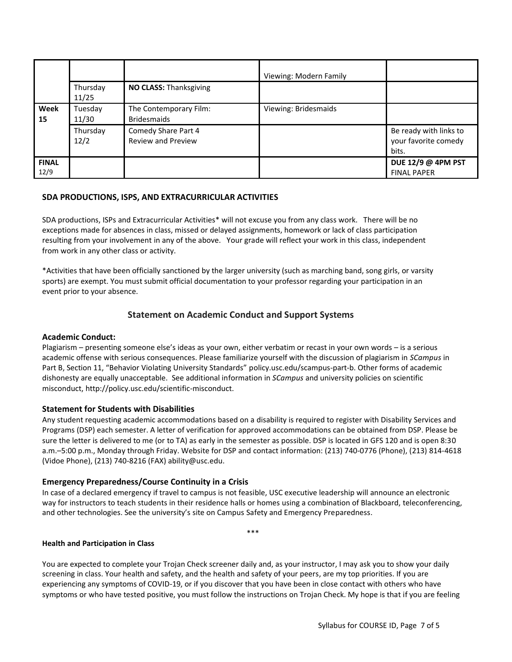|                      |                   |                                                  | Viewing: Modern Family |                                                         |
|----------------------|-------------------|--------------------------------------------------|------------------------|---------------------------------------------------------|
|                      | Thursday<br>11/25 | NO CLASS: Thanksgiving                           |                        |                                                         |
| Week<br>15           | Tuesday<br>11/30  | The Contemporary Film:<br><b>Bridesmaids</b>     | Viewing: Bridesmaids   |                                                         |
|                      | Thursday<br>12/2  | Comedy Share Part 4<br><b>Review and Preview</b> |                        | Be ready with links to<br>your favorite comedy<br>bits. |
| <b>FINAL</b><br>12/9 |                   |                                                  |                        | DUE 12/9 @ 4PM PST<br><b>FINAL PAPER</b>                |

#### **SDA PRODUCTIONS, ISPS, AND EXTRACURRICULAR ACTIVITIES**

SDA productions, ISPs and Extracurricular Activities\* will not excuse you from any class work. There will be no exceptions made for absences in class, missed or delayed assignments, homework or lack of class participation resulting from your involvement in any of the above. Your grade will reflect your work in this class, independent from work in any other class or activity.

\*Activities that have been officially sanctioned by the larger university (such as marching band, song girls, or varsity sports) are exempt. You must submit official documentation to your professor regarding your participation in an event prior to your absence.

# **Statement on Academic Conduct and Support Systems**

#### **Academic Conduct:**

Plagiarism – presenting someone else's ideas as your own, either verbatim or recast in your own words – is a serious academic offense with serious consequences. Please familiarize yourself with the discussion of plagiarism in *SCampus* in Part B, Section 11, "Behavior Violating University Standards" [policy.usc.edu/scampus-part-b.](https://policy.usc.edu/scampus-part-b/) Other forms of academic dishonesty are equally unacceptable. See additional information in *SCampus* and university policies on scientific misconduct, http://policy.usc.edu/scientific-misconduct.

#### **Statement for Students with Disabilities**

Any student requesting academic accommodations based on a disability is required to register with Disability Services and Programs (DSP) each semester. A letter of verification for approved accommodations can be obtained from DSP. Please be sure the letter is delivered to me (or to TA) as early in the semester as possible. DSP is located in GFS 120 and is open 8:30 a.m.–5:00 p.m., Monday through Friday. Website for DSP and contact information: (213) 740-0776 (Phone), (213) 814-4618 (Vidoe Phone), (213) 740-8216 (FAX) ability@usc.edu.

#### **Emergency Preparedness/Course Continuity in a Crisis**

In case of a declared emergency if travel to campus is not feasible, USC executive leadership will announce an electronic way for instructors to teach students in their residence halls or homes using a combination of Blackboard, teleconferencing, and other technologies. See the university's site on Campus Safety and Emergency Preparedness.

\*\*\*

#### **Health and Participation in Class**

You are expected to complete your Trojan Check screener daily and, as your instructor, I may ask you to show your daily screening in class. Your health and safety, and the health and safety of your peers, are my top priorities. If you are experiencing any symptoms of COVID-19, or if you discover that you have been in close contact with others who have symptoms or who have tested positive, you must follow the instructions on Trojan Check. My hope is that if you are feeling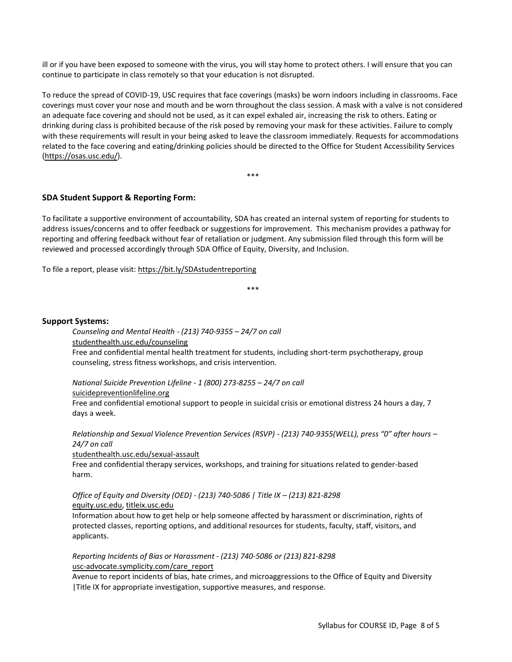ill or if you have been exposed to someone with the virus, you will stay home to protect others. I will ensure that you can continue to participate in class remotely so that your education is not disrupted.

To reduce the spread of COVID-19, USC requires that face coverings (masks) be worn indoors including in classrooms. Face coverings must cover your nose and mouth and be worn throughout the class session. A mask with a valve is not considered an adequate face covering and should not be used, as it can expel exhaled air, increasing the risk to others. Eating or drinking during class is prohibited because of the risk posed by removing your mask for these activities. Failure to comply with these requirements will result in your being asked to leave the classroom immediately. Requests for accommodations related to the face covering and eating/drinking policies should be directed to the Office for Student Accessibility Services [\(https://osas.usc.edu/\)](https://osas.usc.edu/).

\*\*\*

# **SDA Student Support & Reporting Form:**

To facilitate a supportive environment of accountability, SDA has created an internal system of reporting for students to address issues/concerns and to offer feedback or suggestions for improvement. This mechanism provides a pathway for reporting and offering feedback without fear of retaliation or judgment. Any submission filed through this form will be reviewed and processed accordingly through SDA Office of Equity, Diversity, and Inclusion.

To file a report, please visit:<https://bit.ly/SDAstudentreporting>

\*\*\*

#### **Support Systems:**

*Counseling and Mental Health - (213) 740-9355 – 24/7 on call*

[studenthealth.usc.edu/counseling](https://studenthealth.usc.edu/counseling/)

Free and confidential mental health treatment for students, including short-term psychotherapy, group [co](https://engemannshc.usc.edu/counseling/)unseling, stress fitness workshops, and crisis intervention.

*National Suicide Prevention Lifeline - 1 (800) 273-8255 – 24/7 on call*

[suicidepreventionlifeline.org](http://www.suicidepreventionlifeline.org/)

Free and confidential emotional support to people in suicidal crisis or emotional distress 24 hours a day, 7 [da](http://www.suicidepreventionlifeline.org/)ys a week.

*Relationship and Sexual Violence Prevention Services (RSVP) - (213) 740-9355(WELL), press "0" after hours – 24/7 on call*

[studenthealth.usc.edu/sexual-assault](https://studenthealth.usc.edu/sexual-assault/)

Free and confidential therapy services, workshops, and training for situations related to gender-based har[m.](https://engemannshc.usc.edu/rsvp/)

*Office of Equity and Diversity (OED) - (213) 740-5086 | Title IX – (213) 821-8298* [equity.usc.edu,](https://equity.usc.edu/) [titleix.usc.edu](http://titleix.usc.edu/)

Information about how to get help or help someone affected by harassment or discrimination, rights of protected classes, reporting options, and additional resources for students, faculty, staff, visitors, and applicants.

*Reporting Incidents of Bias or Harassment - (213) 740-5086 or (213) 821-8298* [usc-advocate.symplicity.com/care\\_report](https://usc-advocate.symplicity.com/care_report/)

Avenue to report incidents of bias, hate crimes, and microaggressions to the Office of Equity and Diversity |Title IX for appropriate investigation, supportive measures, and respons[e.](https://studentaffairs.usc.edu/bias-assessment-response-support/)